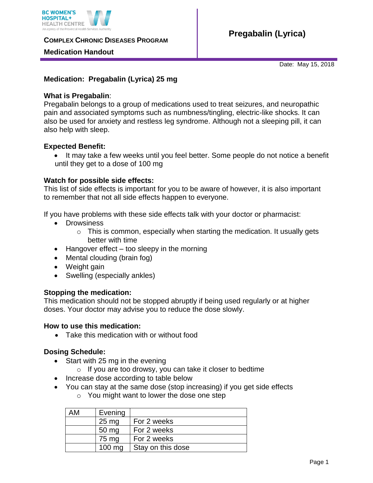

**COMPLEX CHRONIC DISEASES PROGRAM** 

## **Medication Handout**

Date: May 15, 2018

## **Medication: Pregabalin (Lyrica) 25 mg**

### **What is Pregabalin**:

Pregabalin belongs to a group of medications used to treat seizures, and neuropathic pain and associated symptoms such as numbness/tingling, electric-like shocks. It can also be used for anxiety and restless leg syndrome. Although not a sleeping pill, it can also help with sleep.

## **Expected Benefit:**

• It may take a few weeks until you feel better. Some people do not notice a benefit until they get to a dose of 100 mg

## **Watch for possible side effects:**

This list of side effects is important for you to be aware of however, it is also important to remember that not all side effects happen to everyone.

If you have problems with these side effects talk with your doctor or pharmacist:

- Drowsiness
	- $\circ$  This is common, especially when starting the medication. It usually gets better with time
- $\bullet$  Hangover effect too sleepy in the morning
- Mental clouding (brain fog)
- Weight gain
- Swelling (especially ankles)

#### **Stopping the medication:**

This medication should not be stopped abruptly if being used regularly or at higher doses. Your doctor may advise you to reduce the dose slowly.

#### **How to use this medication:**

Take this medication with or without food

## **Dosing Schedule:**

- Start with 25 mg in the evening
	- $\circ$  If you are too drowsy, you can take it closer to bedtime
- Increase dose according to table below
- You can stay at the same dose (stop increasing) if you get side effects
	- o You might want to lower the dose one step

| AM | Evening          |                   |
|----|------------------|-------------------|
|    | 25 <sub>mg</sub> | For 2 weeks       |
|    | 50 mg            | For 2 weeks       |
|    | 75 mg            | For 2 weeks       |
|    | 100 mg           | Stay on this dose |